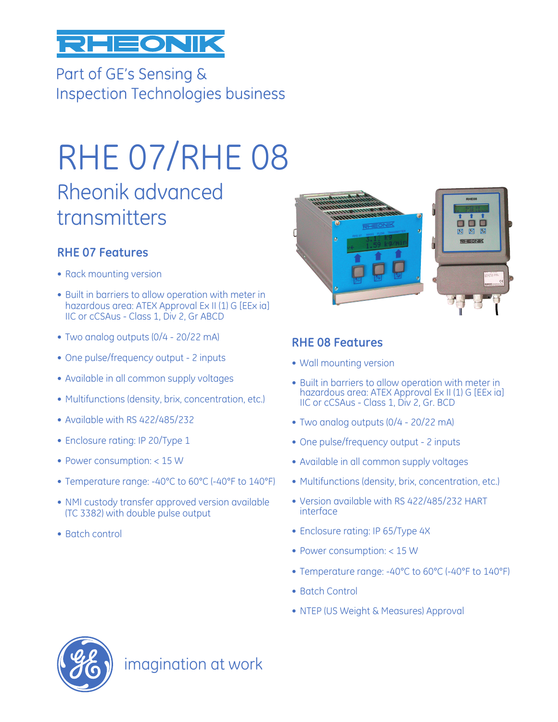

Part of GE's Sensing & **Inspection Technologies business** 

# RHE 07/RHE 08

# Rheonik advanced transmitters

#### **RHE 07 Features**

- Rack mounting version
- Built in barriers to allow operation with meter in hazardous area: ATEX Approval Ex II (1) G [EEx ia] IIC or cCSAus - Class 1, Div 2, Gr ABCD
- Two analog outputs (0/4 20/22 mA)
- One pulse/frequency output 2 inputs
- Available in all common supply voltages
- Multifunctions (density, brix, concentration, etc.)
- Available with RS 422/485/232
- Enclosure rating: IP 20/Type 1
- Power consumption: < 15 W
- Temperature range: -40°C to 60°C (-40°F to 140°F)
- NMI custody transfer approved version available (TC 3382) with double pulse output
- Batch control



#### **RHE 08 Features**

- Wall mounting version
- Built in barriers to allow operation with meter in hazardous area: ATEX Approval Ex II (1) G [EEx ia] IIC or cCSAus - Class 1, Div 2, Gr. BCD
- Two analog outputs (0/4 20/22 mA)
- One pulse/frequency output 2 inputs
- Available in all common supply voltages
- Multifunctions (density, brix, concentration, etc.)
- Version available with RS 422/485/232 HART interface
- Enclosure rating: IP 65/Type 4X
- Power consumption: < 15 W
- Temperature range: -40°C to 60°C (-40°F to 140°F)
- Batch Control
- NTEP (US Weight & Measures) Approval



imagination at work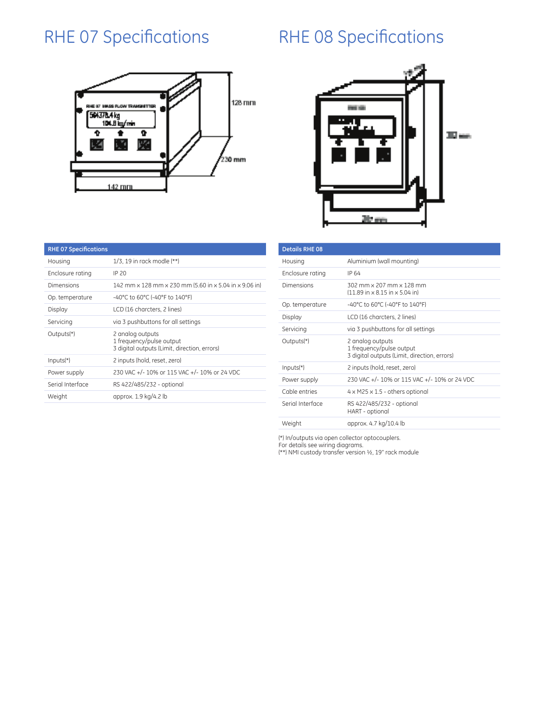## RHE 07 Specifications RHE 08 Specifications

#### 128 mm E 67 INNSS FLO 504378.4 kg<br>104.8 kg/min Ð  $\overline{\mathbf{r}}$ 蛵 230 mm 142 mm



| <b>RHE 07 Specifications</b> |                                                                                              |  |  |
|------------------------------|----------------------------------------------------------------------------------------------|--|--|
| Housing                      | 1/3, 19 in rack modle (**)                                                                   |  |  |
| Enclosure rating             | IP 20                                                                                        |  |  |
| Dimensions                   | 142 mm x 128 mm x 230 mm (5.60 in x 5.04 in x 9.06 in)                                       |  |  |
| Op. temperature              | -40°C to 60°C (-40°F to 140°F)                                                               |  |  |
| Display                      | LCD (16 charcters, 2 lines)                                                                  |  |  |
| Servicing                    | via 3 pushbuttons for all settings                                                           |  |  |
| Outputs <sup>(*)</sup>       | 2 analog outputs<br>1 frequency/pulse output<br>3 digital outputs (Limit, direction, errors) |  |  |
| $InputStreamtext{f}$         | 2 inputs (hold, reset, zero)                                                                 |  |  |
| Power supply                 | 230 VAC +/- 10% or 115 VAC +/- 10% or 24 VDC                                                 |  |  |
| Serial Interface             | RS 422/485/232 - optional                                                                    |  |  |
| Weight                       | approx. 1.9 kg/4.2 lb                                                                        |  |  |

| <b>Details RHE 08</b> |                                                                                                  |  |  |
|-----------------------|--------------------------------------------------------------------------------------------------|--|--|
| Housing               | Aluminium (wall mounting)                                                                        |  |  |
| Enclosure rating      | IP 64                                                                                            |  |  |
| Dimensions            | 302 mm x 207 mm x 128 mm<br>$(11.89 \text{ in } \times 8.15 \text{ in } \times 5.04 \text{ in})$ |  |  |
| Op. temperature       | $-40^{\circ}$ C to 60°C (-40°F to 140°F)                                                         |  |  |
| Display               | LCD (16 charcters, 2 lines)                                                                      |  |  |
| Servicing             | via 3 pushbuttons for all settings                                                               |  |  |
| Outputs(*)            | 2 analog outputs<br>1 frequency/pulse output<br>3 digital outputs (Limit, direction, errors)     |  |  |
| $InputStreamtext{f}$  | 2 inputs (hold, reset, zero)                                                                     |  |  |
| Power supply          | 230 VAC +/- 10% or 115 VAC +/- 10% or 24 VDC                                                     |  |  |
| Cable entries         | $4 \times M25 \times 1.5$ - others optional                                                      |  |  |
| Serial Interface      | RS 422/485/232 - optional<br>HART - optional                                                     |  |  |
| Weight                | approx. 4.7 kg/10.4 lb                                                                           |  |  |

(\*) In/outputs via open collector optocouplers.

For details see wiring diagrams.

(\*\*) NMI custody transfer version ½, 19" rack module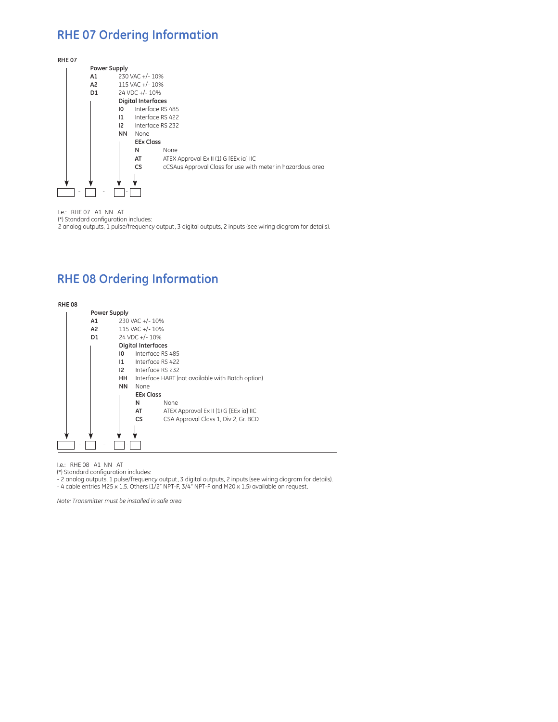#### **RHE 07 Ordering Information**

| <b>RHE07</b> |                |                     |                           |                                                            |  |  |
|--------------|----------------|---------------------|---------------------------|------------------------------------------------------------|--|--|
|              |                | <b>Power Supply</b> |                           |                                                            |  |  |
|              | A1             | 230 VAC +/-10%      |                           |                                                            |  |  |
|              | A <sub>2</sub> | 115 VAC +/- 10%     |                           |                                                            |  |  |
|              | D1             | 24 VDC +/-10%       |                           |                                                            |  |  |
|              |                |                     | <b>Digital Interfaces</b> |                                                            |  |  |
|              |                | 10                  |                           | Interface RS 485                                           |  |  |
|              |                | $\mathbf{11}$       |                           | Interface RS 422                                           |  |  |
|              |                | 12                  |                           | Interface RS 232                                           |  |  |
|              |                |                     | None                      |                                                            |  |  |
|              |                |                     | <b>EEx Class</b>          |                                                            |  |  |
|              |                |                     | N                         | <b>None</b>                                                |  |  |
|              |                |                     | AT                        | ATEX Approval Ex II (1) G [EEx ia] IIC                     |  |  |
|              |                |                     | <b>CS</b>                 | cCSAus Approval Class for use with meter in hazardous area |  |  |
|              |                |                     |                           |                                                            |  |  |
|              |                |                     |                           |                                                            |  |  |
|              | ۰              |                     |                           |                                                            |  |  |

I.e.: RHE 07 A1 NN AT

(\*) Standard configuration includes:

2 analog outputs, 1 pulse/frequency output, 3 digital outputs, 2 inputs (see wiring diagram for details).

#### **RHE 08 Ordering Information**



I.e.: RHE 08 A1 NN AT

(\*) Standard configuration includes:

- 2 analog outputs, 1 pulse/frequency output, 3 digital outputs, 2 inputs (see wiring diagram for details).

- 4 cable entries M25 x 1.5. Others (1/2" NPT-F, 3/4" NPT-F and M20 x 1.5) available on request.

*Note: Transmitter must be installed in safe area*